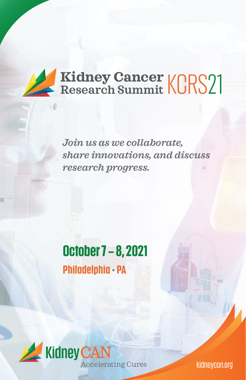

*Join us as we collaborate, share innovations, and discuss research progress.*

# **October 7 – 8, 2021 Philadelphia • PA**



kidneycan.org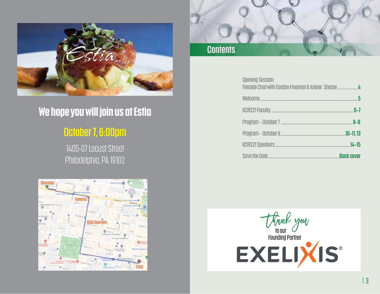

# **We hope you will join us at Estia**

## **October 7, 6:00pm**

1405-07 Locust Street Philadelphia, PA 19102



# **Contents**

|                   | <b>Opening Session:</b> |
|-------------------|-------------------------|
| - 5               |                         |
| 6–7               |                         |
| $R_0$             |                         |
| .10–11,13         |                         |
| $14 - 15$         |                         |
| <b>Back cover</b> |                         |

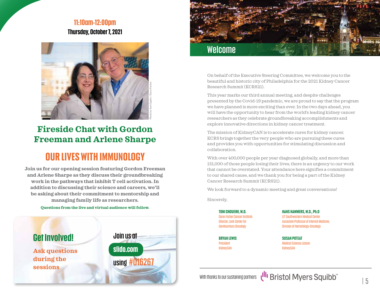### **11:10am-12:00pm Thursday, October 7, 2021**



## **Fireside Chat with Gordon Freeman and Arlene Sharpe**

## **OUR LIVES WITH IMMUNOLOGY**

**Join us for our opening session featuring Gordon Freeman and Arlene Sharpe as they discuss their groundbreaking work in the pathways that inhibit T cell activation. In addition to discussing their science and careers, we'll be asking about their commitment to mentorship and managing family life as researchers.**

#### **Questions from the live and virtual audience will follow.**





On behalf of the Executive Steering Committee, we welcome you to the beautiful and historic city of Philadelphia for the 2021 Kidney Cancer Research Summit (KCRS21).

This year marks our third annual meeting, and despite challenges presented by the Covid-19 pandemic, we are proud to say that the program we have planned is more exciting than ever. In the two days ahead, you will have the opportunity to hear from the world's leading kidney cancer researchers as they celebrate groundbreaking accomplishments and explore innovative directions in kidney cancer treatment.

The mission of KidneyCAN is to accelerate cures for kidney cancer. KCRS brings together the very people who are pursuing these cures and provides you with opportunities for stimulating discussion and collaboration.

With over 400,000 people per year diagnosed globally, and more than 131,000 of those people losing their lives, there is an urgency to our work that cannot be overstated. Your attendance here signifies a commitment to our shared cause, and we thank you for being a part of the Kidney Cancer Research Summit (KCRS21).

We look forward to a dynamic meeting and great conversations!

Sincerely,

**TONI CHOUEIRI, M.D.** Dana-Farber Cancer Institute Director, Lank Center for Genitourinary Oncology

**BRYAN LEWIS** President KidneyCAN

**HANS HAMMERS, M.D., Ph.D** UT Southwestern Medical Center Associate Professor of Internal Medicine, Division of Hematology-Oncology

**SUSAN POTEAT** Medical Science Liaison KidneyCAN

With thanks to our sustaining partners  $\sqrt{m}$  Bristol Myers Squibb<sup>"</sup>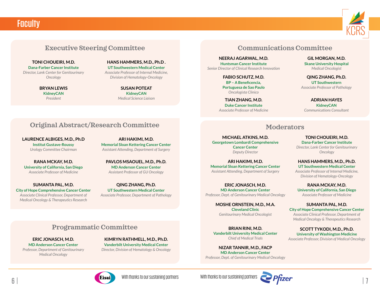



#### **Executive Steering Committee**

#### **TONI CHOUEIRI, M.D.**

**Dana-Farber Cancer Institute** *Director, Lank Center for Genitourinary Oncology*

> **BRYAN LEWIS KidneyCAN** *President*

**HANS HAMMERS, M.D., Ph.D . UT Southwestern Medical Center** *Associate Professor of Internal Medicine, Division of Hematology-Oncology*

> **SUSAN POTEAT KidneyCAN** *Medical Science Liaison*

#### **Communications Committee**

**NEERAJ AGARWAL, M.D. Huntsman Cancer Institute** *Senior Director of Clinical Research Innovation*

> **FABIO SCHUTZ, M.D. BP – A Beneficencia, Portuguesa de Sao Paulo** *Oncologista Clinico*

**TIAN ZHANG, M.D. Duke Cancer Institute** *Associate Professor of Medicine*

**GIL MORGAN, M.D. Skane University Hospital** *Medical Oncologist*

**QING ZHANG, Ph.D. UT Southwestern** *Associate Professor of Pathology*

**ADRIAN HAYES KidneyCAN** *Communications Consultant*

#### **Moderators**

**MICHAEL ATKINS, M.D. Georgetown Lombardi Comprehensive Cancer Center** *Deputy Director*

**ARI HAKIMI, M.D. Memorial Sloan Kettering Cancer Center** *Assistant Attending, Department of Surgery*

**ERIC JONASCH, M.D. MD Anderson Cancer Center** *Professor, Dept. of Genitourinary Medical Oncology*

**MOSHE ORNSTEIN, M.D., M.A.**

**Cleveland Clinic** *Genitourinary Medical Oncologist*

**BRIAN RINI, M.D. Vanderbilt University Medical Center** *Chief of Medical Trials*

**NIZAR TANNIR, M.D., FACP MD Anderson Cancer Center** *Professor, Dept. of Genitourinary Medical Oncology*

**TONI CHOUEIRI, M.D. Dana-Farber Cancer Institute** *Director, Lank Center for Genitourinary* 

**HANS HAMMERS, M.D., Ph.D. UT Southwestern Medical Center** *Oncology*

*Associate Professor of Internal Medicine, Division of Hematology-Oncology*

**RANA MCKAY, M.D. University of California, San Diego** *Associate Professor of Medicine*

**SUMANTA PAL, M.D. City of Hope Comprehensive Cancer Center** *Associate Clinical Professor, Department of Medical Oncology & Therapeutics Research*

**SCOTT TYKODI, M.D., Ph.D. University of Washington Medicine** *Associate Professor, Division of Medical Oncology*

#### **Original Abstract/Research Committee**

**LAURENCE ALBIGES, M.D., Ph.D Institut Gustave-Roussy** *Urology Committee Chairman*

**RANA MCKAY, M.D. University of California, San Diego** *Associate Professor of Medicine*

**SUMANTA PAL, M.D. City of Hope Comprehensive Cancer Center** *Associate Clinical Professor, Department of Medical Oncology & Therapeutics Research*

**ARI HAKIMI, M.D. Memorial Sloan Kettering Cancer Center** *Assistant Attending, Department of Surgery*

**PAVLOS MSAOUEL, M.D., Ph.D. MD Anderson Cancer Center** *Assistant Professor of GU Oncology*

**QING ZHANG, Ph.D. UT Southwestern Medical Center** *Associate Professor, Department of Pathology*

#### **Programmatic Committee**

**ERIC JONASCH, M.D. MD Anderson Cancer Center** *Professor, Department of Genitourinary Medical Oncology*

**KIMRYN RATHMELL, M.D., Ph.D. Vanderbilt University Medical Center** *Director, Division of Hematology & Oncology*

With thanks to our sustaining partners With thanks to our sustaining partners

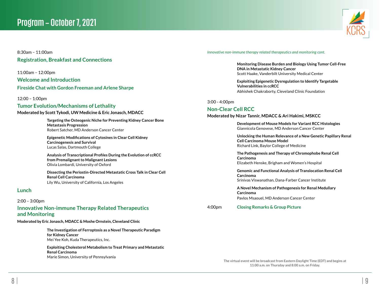

8:30am – 11:00am **Registration, Breakfast and Connections**

11:00am – 12:00pm

**Welcome and Introduction**

**Fireside Chat with Gordon Freeman and Arlene Sharpe**

12:00 – 1:00pm

#### **Tumor Evolution/Mechanisms of Lethality**

**Moderated by Scott Tykodi, UW Medicine & Eric Jonasch, MDACC**

**Targeting the Osteogenic Niche for Preventing Kidney Cancer Bone Metastasis Progression** Robert Satcher, MD Anderson Cancer Center

**Epigenetic Modifications of Cytosines in Clear Cell Kidney Carcinogenesis and Survival** Lucas Salas, Dartmouth College

**Analysis of Transcriptional Profiles During the Evolution of ccRCC from Premalignant to Malignant Lesions** Olivia Lombardi, University of Oxford

**Dissecting the Periostin-Directed Metastatic Cross Talk in Clear Cell Renal Cell Carcinoma** Lily Wu, University of California, Los Angeles

#### **Lunch**

#### 2:00 – 3:00pm

#### **Innovative Non-immune Therapy Related Therapeutics and Monitoring**

**Moderated by Eric Jonasch, MDACC & Moshe Ornstein, Cleveland Clinic**

**The Investigation of Ferroptosis as a Novel Therapeutic Paradigm for Kidney Cancer** Mei Yee Koh, Kuda Therapeutics, Inc.

**Exploiting Cholesterol Metabolism to Treat Primary and Metastatic Renal Carcinoma** Marie Simon, University of Pennsylvania

*Innovative non-immune therapy related therapeutics and monitoring cont.*

**Monitoring Disease Burden and Biology Using Tumor Cell-Free DNA in Metastatic Kidney Cancer** Scott Haake, Vanderbilt University Medical Center

**Exploiting Epigenetic Dysregulation to Identify Targetable Vulnerabilities in ccRCC** Abhishek Chakraborty, Cleveland Clinic Foundation

#### 3:00 - 4:00pm

#### **Non-Clear Cell RCC**

#### **Moderated by Nizar Tannir, MDACC & Ari Hakimi, MSKCC**

**Development of Mouse Models for Variant RCC Histologies** Giannicola Genovese, MD Anderson Cancer Center

**Unlocking the Human Relevance of a New Genetic Papillary Renal Cell Carcinoma Mouse Model** Richard Link, Baylor College of Medicine

**The Pathogenesis and Therapy of Chromophobe Renal Cell Carcinoma** Elizabeth Henske, Brigham and Women's Hospital

**Genomic and Functional Analysis of Translocation Renal Cell Carcinoma**

Srinivas Viswanathan, Dana-Farber Cancer Institute

**A Novel Mechanism of Pathogenesis for Renal Medullary Carcinoma** Pavlos Msaouel, MD Anderson Cancer Center

#### 4:00pm **Closing Remarks & Group Picture**

**The virtual event will be broadcast from Eastern Daylight Time (EDT) and begins at 11:00 a.m. on Thursday and 8:00 a.m. on Friday.**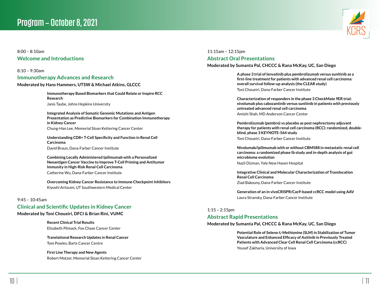

#### 8:00 – 8:10am **Welcome and Introductions**

8:10 – 9:30am

#### **Immunotherapy Advances and Research**

**Moderated by Hans Hammers, UTSW & Michael Atkins, GLCCC**

**Immunotherapy Based Biomarkers that Could Relate or Inspire RCC Research** Janis Taube, Johns Hopkins University

**Integrated Analysis of Somatic Genomic Mutations and Antigen Presentation as Predictive Biomarkers for Combination Immunotherapy in Kidney Cancer** Chung-Han Lee, Memorial Sloan Kettering Cancer Center

**Understanding CD8+ T-Cell Specificity and Function in Renal Cell Carcinoma** David Braun, Dana-Farber Cancer Institute

**Combining Locally Administered Ipilimumab with a Personalized Neoantigen Cancer Vaccine to Improve T-Cell Priming and Antitumor Immunity in High-Risk Renal Cell Carcinoma** Catherine Wu, Dana-Farber Cancer Institute

**Overcoming Kidney Cancer Resistance to Immune Checkpoint Inhibitors**  Kiyoshi Ariizumi, UT Southwestern Medical Center

#### 9:45 – 10:45am

## **Clinical and Scientific Updates in Kidney Cancer**

**Moderated by Toni Choueiri, DFCI & Brian Rini, VUMC**

**Recent Clinical Trial Results** Elizabeth Plimack, Fox Chase Cancer Center

**Translational Research Updates in Renal Cancer** Tom Powles, Barts Cancer Centre

**First Line Therapy and New Agents** Robert Motzer, Memorial Sloan Kettering Cancer Center 11:15am – 12:15pm

#### **Abstract Oral Presentations**

#### **Moderated by Sumanta Pal, CHCCC & Rana McKay, UC, San Diego**

**A phase 3 trial of lenvatinib plus pembrolizumab versus sunitinib as a first-line treatment for patients with advanced renal cell carcinoma: overall survival follow-up analysis (the CLEAR study)** Toni Choueiri, Dana-Farber Cancer Institute

**Characterization of responders in the phase 3 CheckMate 9ER trial: nivolumab plus cabozantinib versus sunitinib in patients with previously untreated advanced renal cell carcinoma**

Amishi Shah, MD Anderson Cancer Center

**Pembrolizumab (pembro) vs placebo as post nephrectomy adjuvant therapy for patients with renal cell carcinoma (RCC): randomized, doubleblind, phase 3 KEYNOTE-564 study** Toni Choueiri, Dana-Farber Cancer Institute

**Nivolumab/ipilimumab with or without CBM588 in metastatic renal cell carcinoma: a randomized phase Ib study and in-depth analysis of gut microbiome evolution**

Nazli Dizman, Yale New Haven Hospital

**Integrative Clinical and Molecular Characterization of Translocation Renal Cell Carcinoma** Ziad Bakouny, Dana-Farber Cancer Institute

**Generation of an in vivoCRISPR/Cas9-based ccRCC model using AAV** Laura Stransky, Dana-Farber Cancer Institute

#### 1:15 – 2:15pm

#### **Abstract Rapid Presentations**

#### **Moderated by Sumanta Pal, CHCCC & Rana McKay, UC, San Diego**

**Potential Role of Seleno-L-Methionine (SLM) in Stabilization of Tumor Vasculature and Enhanced Efficacy of Axitinib in Previously Treated Patients with Advanced Clear Cell Renal Cell Carcinoma (ccRCC)** Yousef Zakharia, University of Iowa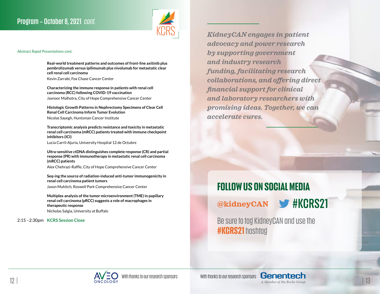

#### *Abstract Rapid Presentations cont.*

**Real-world treatment patterns and outcomes of front-line axitinib plus pembrolizumab versus ipilimumab plus nivolumab for metastatic clear cell renal cell carcinoma**

Kevin Zarrabi, Fox Chase Cancer Center

**Characterizing the immune response in patients with renal cell carcinoma (RCC) following COVID-19 vaccination** Jasnoor Malhotra, City of Hope Comprehensive Cancer Center

**Histologic Growth Patterns in Nephrectomy Specimens of Clear Cell Renal Cell Carcinoma Inform Tumor Evolution** Nicolas Sayegh, Huntsman Cancer Institute

**Transcriptomic analysis predicts resistance and toxicity in metastatic renal cell carcinoma (mRCC) patients treated with immune checkpoint inhibitors (ICI)**

Lucia Carril-Ajuria, University Hospital 12 de Octubre

**Ultra-sensitive ctDNA distinguishes complete response (CR) and partial response (PR) with immunotherapy in metastatic renal cell carcinoma (mRCC) patients**

Alex Chehrazi-Raffle, City of Hope Comprehensive Cancer Center

**Seq-ing the source of radiation-induced anti-tumor immunogenicity in renal cell carcinoma patient tumors**

Jason Muhitch, Roswell Park Comprehensive Cancer Center

**Multiplex analysis of the tumor microenvironment (TME) in papillary renal cell carcinoma (pRCC) suggests a role of macrophages in therapeutic response** Nicholas Salgia, University at Buffalo

2:15 –2:30pm **KCRS Session Close**

*KidneyCAN engages in patient advocacy and power research by supporting government and industry research funding, facilitating research collaborations, and offering direct financial support for clinical and laboratory researchers with promising ideas. Together, we can accelerate cures.*

## **FOLLOW US ON SOCIAL MEDIA**

**@kidneyCAN** 

Be sure to tag KidneyCAN and use the **#KCRS21** hashtag

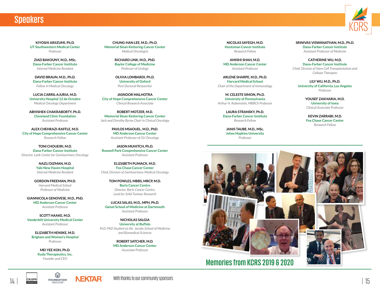## **Speakers**

KCRS

**KIYOSHI ARIIZUMI, Ph.D. UT Southwestern Medical Center** *Professor*

**ZIAD BAKOUNY, M.D., MSc. Dana-Farber Cancer Institute** *Internal Medicine Resident*

**DAVID BRAUN, M.D., Ph.D. Dana-Farber Cancer Institute** *Fellow in Medical Oncology*

**LUCIA CARRIL-AJURIA, M.D. University Hospital 12 de Octubre** *Medical Oncology Department*

**ABHISHEK CHAKRABORTY, Ph.D. Cleveland Clinic Foundation** *Assistant Professor*

**ALEX CHEHRAZI-RAFFLE, M.D. City of Hope Comprehensive Cancer Center** *Research Fellow*

**TONI CHOUEIRI, M.D. Dana-Farber Cancer Institute** *Director, Lank Center for Genitourinary Oncology*

> **NAZLI DIZMAN, M.D. Yale New Haven Hospital** *Internal Medicine Resident*

**GORDON FREEMAN, PH.D.** *Harvard Medical School Professor of Medicine*

**GIANNICOLA GENOVESE, M.D., PhD. MD Anderson Cancer Center** *Assistant Professor*

**SCOTT HAAKE, M.D. Vanderbilt University Medical Center** *Assistant Professor*

**ELIZABETH HENSKE, M.D. Brigham and Women's Hospital** *Professor*

> **MEI YEE KOH, Ph.D. Kuda Therapeutics, Inc.** *Founder and CEO*

**CHUNG-HAN LEE, M.D., Ph.D. Memorial Sloan Kettering Cancer Center** *Medical Oncologist*

> **RICHARD LINK, M.D., PhD. Baylor College of Medicine** *Professor of Urology*

**OLIVIA LOMBARDI, Ph.D. University of Oxford** *Post Doctoral Researcher*

**JASNOOR MALHOTRA City of Hope Comprehensive Cancer Center** *Clinical Research Associate*

**ROBERT MOTZER, M.D. Memorial Sloan Kettering Cancer Center** *Jack and Dorothy Byrne Chair in Clinical Oncology*

> **PAVLOS MSAOUEL, M.D., PhD. MD Anderson Cancer Center** *Assistant Professor of GU Oncology*

**JASON MUHITCH, Ph.D. Roswell Park Comprehensive Cancer Center** *Assistant Professor*

**ELIZABETH PLIMACK, M.D. Fox Chase Cancer Center** *Chief, Division of Genitourinary Medical Oncology*

> **TOM POWLES, MBBS, MRCP, M.D. Barts Cancer Centre** *Director, Barts Cancer Centre, Lead for Solid Tumour Research*

**LUCAS SALAS, M.D., MPH, Ph.D. Geisel School of Medicine at Dartmouth** *Assistant Professor*

**NICHOLAS SALGIA University at Buffalo** *M.D.-PhD Student at the Jacobs School of Medicine and Biomedical Sciences* 

> **ROBERT SATCHER, M.D. MD Anderson Cancer Center** *Associate Professor*

**NICOLAS SAYEGH, M.D. Huntsman Cancer Institute** *Research Fellow*

**AMISHI SHAH, M.D. MD Anderson Cancer Center** *Assistant Professor*

**ARLENE SHARPE, M.D., Ph.D. Harvard Medical School** *Chair of the Department of Immunology*

**M. CELESTE SIMON, Ph.D. University of Pennsylvania** *Arthur H. Rubenstein, MBBCh Professor*

**LAURA STRANSKY, Ph.D. Dana-Farber Cancer Institute** *Research Fellow*

**JANIS TAUBE, M.D., MSc. Johns Hopkins University** *Professor*

**SRINIVAS VISWANATHAN, M.D., Ph.D. Dana-Farber Cancer Institute** *Assistant Professor of Medicine*

**CATHERINE WU, M.D. Dana-Farber Cancer Institute** *Chief, Division of Stem Cell Transplantation and Cellular Therapies*

**LILY WU, M.D., Ph.D. University of California, Los Angeles** *Professor*

> **YOUSEF ZAKHARIA, M.D. University of Iowa** *Clinical Associate Professor*

**KEVIN ZARRABI, M.D. Fox Chase Cancer Center** *Research Fellow*



**Memories from KCRS 2019 & 2020**